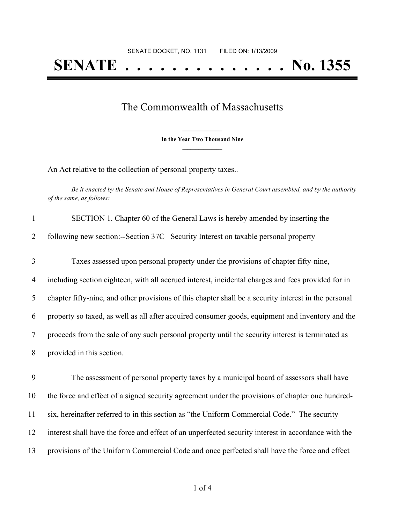## The Commonwealth of Massachusetts

**\_\_\_\_\_\_\_\_\_\_\_\_\_\_\_ In the Year Two Thousand Nine \_\_\_\_\_\_\_\_\_\_\_\_\_\_\_**

An Act relative to the collection of personal property taxes..

Be it enacted by the Senate and House of Representatives in General Court assembled, and by the authority *of the same, as follows:*

| $\mathbf{1}$   | SECTION 1. Chapter 60 of the General Laws is hereby amended by inserting the                          |
|----------------|-------------------------------------------------------------------------------------------------------|
| 2              | following new section:--Section 37C Security Interest on taxable personal property                    |
| 3              | Taxes assessed upon personal property under the provisions of chapter fifty-nine,                     |
| $\overline{4}$ | including section eighteen, with all accrued interest, incidental charges and fees provided for in    |
| 5              | chapter fifty-nine, and other provisions of this chapter shall be a security interest in the personal |
| 6              | property so taxed, as well as all after acquired consumer goods, equipment and inventory and the      |
| 7              | proceeds from the sale of any such personal property until the security interest is terminated as     |
| 8              | provided in this section.                                                                             |
| 9              | The assessment of personal property taxes by a municipal board of assessors shall have                |
| 10             | the force and effect of a signed security agreement under the provisions of chapter one hundred-      |
| 11             | six, hereinafter referred to in this section as "the Uniform Commercial Code." The security           |
| 12             | interest shall have the force and effect of an unperfected security interest in accordance with the   |
| 13             | provisions of the Uniform Commercial Code and once perfected shall have the force and effect          |
|                |                                                                                                       |

of 4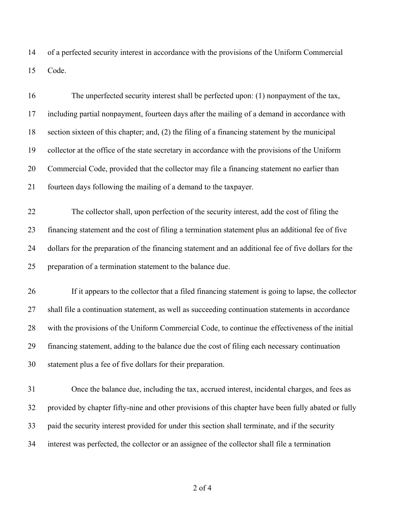of a perfected security interest in accordance with the provisions of the Uniform Commercial Code.

| 16 | The unperfected security interest shall be perfected upon: (1) nonpayment of the tax,                |
|----|------------------------------------------------------------------------------------------------------|
| 17 | including partial nonpayment, fourteen days after the mailing of a demand in accordance with         |
| 18 | section sixteen of this chapter; and, (2) the filing of a financing statement by the municipal       |
| 19 | collector at the office of the state secretary in accordance with the provisions of the Uniform      |
| 20 | Commercial Code, provided that the collector may file a financing statement no earlier than          |
| 21 | fourteen days following the mailing of a demand to the taxpayer.                                     |
| 22 | The collector shall, upon perfection of the security interest, add the cost of filing the            |
| 23 | financing statement and the cost of filing a termination statement plus an additional fee of five    |
| 24 | dollars for the preparation of the financing statement and an additional fee of five dollars for the |
| 25 | preparation of a termination statement to the balance due.                                           |
| 26 | If it appears to the collector that a filed financing statement is going to lapse, the collector     |
| 27 | shall file a continuation statement, as well as succeeding continuation statements in accordance     |
| 28 | with the provisions of the Uniform Commercial Code, to continue the effectiveness of the initial     |
| 29 | financing statement, adding to the balance due the cost of filing each necessary continuation        |
| 30 | statement plus a fee of five dollars for their preparation.                                          |
| 31 | Once the balance due, including the tax, accrued interest, incidental charges, and fees as           |
| 32 | provided by chapter fifty-nine and other provisions of this chapter have been fully abated or fully  |
| 33 | paid the security interest provided for under this section shall terminate, and if the security      |
|    |                                                                                                      |

interest was perfected, the collector or an assignee of the collector shall file a termination

of 4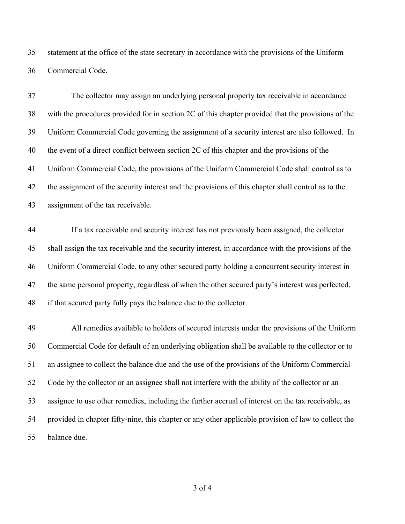statement at the office of the state secretary in accordance with the provisions of the Uniform Commercial Code.

 The collector may assign an underlying personal property tax receivable in accordance with the procedures provided for in section 2C of this chapter provided that the provisions of the Uniform Commercial Code governing the assignment of a security interest are also followed. In the event of a direct conflict between section 2C of this chapter and the provisions of the Uniform Commercial Code, the provisions of the Uniform Commercial Code shall control as to the assignment of the security interest and the provisions of this chapter shall control as to the assignment of the tax receivable.

 If a tax receivable and security interest has not previously been assigned, the collector shall assign the tax receivable and the security interest, in accordance with the provisions of the Uniform Commercial Code, to any other secured party holding a concurrent security interest in the same personal property, regardless of when the other secured party's interest was perfected, if that secured party fully pays the balance due to the collector.

 All remedies available to holders of secured interests under the provisions of the Uniform Commercial Code for default of an underlying obligation shall be available to the collector or to an assignee to collect the balance due and the use of the provisions of the Uniform Commercial Code by the collector or an assignee shall not interfere with the ability of the collector or an assignee to use other remedies, including the further accrual of interest on the tax receivable, as provided in chapter fifty-nine, this chapter or any other applicable provision of law to collect the balance due.

of 4